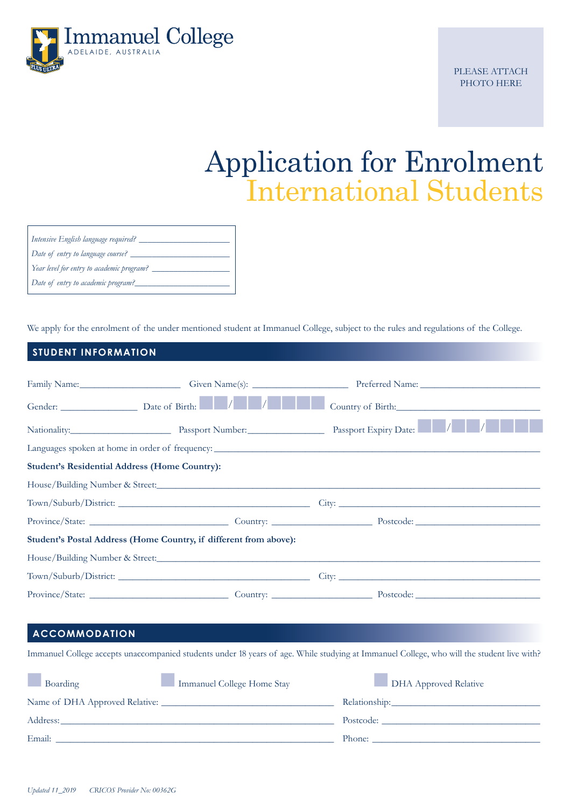

PLEASE ATTACH PHOTO HERE

# Application for Enrolment International Students

| Intensive English language required?      |
|-------------------------------------------|
| Date of entry to language course?         |
| Year level for entry to academic program? |
| Date of entry to academic program?        |

We apply for the enrolment of the under mentioned student at Immanuel College, subject to the rules and regulations of the College.

### **STUDENT INFORMATION**

|                                                      |                                                                   | Family Name: Civen Name(s): Containers (2014) Preferred Name: Containers (2014) Preferred Name: |  |
|------------------------------------------------------|-------------------------------------------------------------------|-------------------------------------------------------------------------------------------------|--|
|                                                      |                                                                   |                                                                                                 |  |
|                                                      |                                                                   | Nationality: Passport Number: Passport Expiry Date: Number: Passport Expiry Date: Number:       |  |
|                                                      |                                                                   |                                                                                                 |  |
| <b>Student's Residential Address (Home Country):</b> |                                                                   |                                                                                                 |  |
|                                                      |                                                                   |                                                                                                 |  |
|                                                      |                                                                   |                                                                                                 |  |
|                                                      |                                                                   |                                                                                                 |  |
|                                                      | Student's Postal Address (Home Country, if different from above): |                                                                                                 |  |
|                                                      |                                                                   |                                                                                                 |  |
|                                                      | Town/Suburb/District:                                             |                                                                                                 |  |
|                                                      |                                                                   |                                                                                                 |  |

### **ACCOMMODATION**

Immanuel College accepts unaccompanied students under 18 years of age. While studying at Immanuel College, who will the student live with?

| Boarding                                                                                                                                                                                                                       | Immanuel College Home Stay | <b>DHA Approved Relative</b> |
|--------------------------------------------------------------------------------------------------------------------------------------------------------------------------------------------------------------------------------|----------------------------|------------------------------|
|                                                                                                                                                                                                                                |                            | Relationship:                |
| Address: the contract of the contract of the contract of the contract of the contract of the contract of the contract of the contract of the contract of the contract of the contract of the contract of the contract of the c |                            | Postcode:                    |
|                                                                                                                                                                                                                                |                            |                              |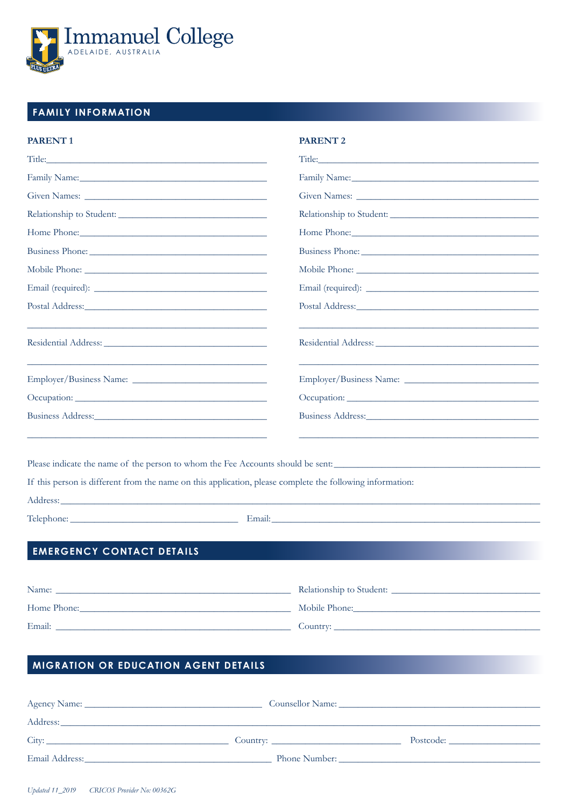

### **FAMILY INFORMATION**

#### **PARENT1**

| Title: The contract of the contract of the contract of the contract of the contract of the contract of the contract of the contract of the contract of the contract of the contract of the contract of the contract of the con | Title: The contract of the contract of the contract of the contract of the contract of the contract of the contract of the contract of the contract of the contract of the contract of the contract of the contract of the con |
|--------------------------------------------------------------------------------------------------------------------------------------------------------------------------------------------------------------------------------|--------------------------------------------------------------------------------------------------------------------------------------------------------------------------------------------------------------------------------|
| Family Name: Name and South Assembly Name and South Assembly Name and South Assembly Name and South Assembly Name and South Assembly Name and South Assembly Name and Assembly Name and Assembly Name and Assembly Name and As |                                                                                                                                                                                                                                |
|                                                                                                                                                                                                                                |                                                                                                                                                                                                                                |
| Relationship to Student:                                                                                                                                                                                                       | Relationship to Student:                                                                                                                                                                                                       |
|                                                                                                                                                                                                                                |                                                                                                                                                                                                                                |
|                                                                                                                                                                                                                                |                                                                                                                                                                                                                                |
|                                                                                                                                                                                                                                |                                                                                                                                                                                                                                |
|                                                                                                                                                                                                                                |                                                                                                                                                                                                                                |
|                                                                                                                                                                                                                                |                                                                                                                                                                                                                                |
|                                                                                                                                                                                                                                |                                                                                                                                                                                                                                |
| <u> 1989 - Johann John Stone, market fan de ferske fan de ferske fan de ferske fan de ferske fan de ferske fan d</u>                                                                                                           |                                                                                                                                                                                                                                |
|                                                                                                                                                                                                                                |                                                                                                                                                                                                                                |
| Business Address:                                                                                                                                                                                                              |                                                                                                                                                                                                                                |
| <u> 1989 - Johann John Stone, mension eta batean batean eta batean batean batean batean batean batean batean batean</u>                                                                                                        | <u> 1989 - Johann Barn, amerikan bernama di sebagai bernama dan bernama di sebagai bernama di sebagai bernama di</u>                                                                                                           |

**PARENT 2** 

Please indicate the name of the person to whom the Fee Accounts should be sent:

If this person is different from the name on this application, please complete the following information:

Address:

Telephone:

Email:

### **EMERGENCY CONTACT DETAILS**

| Name:       | Relationship to Student: |
|-------------|--------------------------|
| Home Phone: | Mobile Phone:            |
| Email:      | Country:                 |

### MIGRATION OR EDUCATION AGENT DETAILS

| Phone Number: |  |
|---------------|--|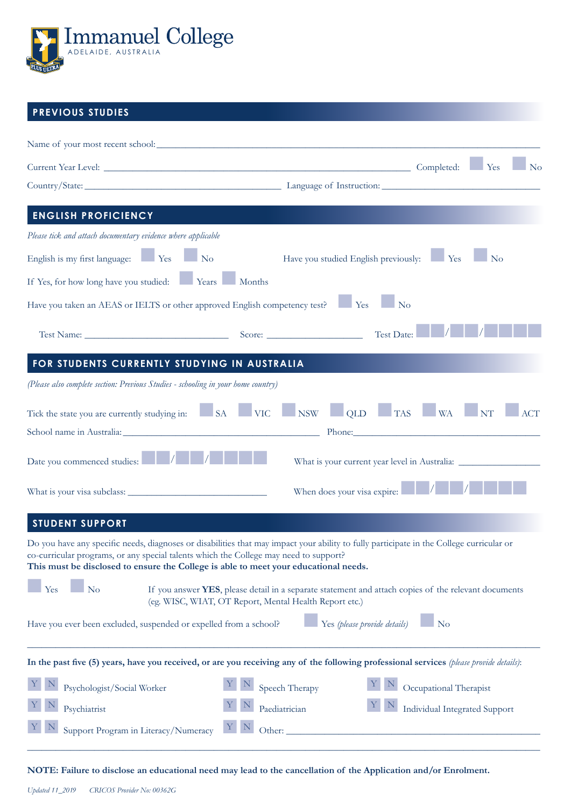

### **PREVIOUS STUDIES**

|                                                                                                                                                                               | Current Year Level: The Vest Completed: The Vest Completed: The Vest Completed: The Vest Completed: The Vest Completed: The Vest Completed: The Vest Completed: The Vest Completed: The Vest Completed: The Vest Completed: Th<br>$\mathbb{N}^{\text{o}}$ |
|-------------------------------------------------------------------------------------------------------------------------------------------------------------------------------|-----------------------------------------------------------------------------------------------------------------------------------------------------------------------------------------------------------------------------------------------------------|
|                                                                                                                                                                               | Country/State: Language of Instruction:                                                                                                                                                                                                                   |
| <b>ENGLISH PROFICIENCY</b>                                                                                                                                                    |                                                                                                                                                                                                                                                           |
| Please tick and attach documentary evidence where applicable                                                                                                                  |                                                                                                                                                                                                                                                           |
| English is my first language: Yes<br>$\blacksquare$ No                                                                                                                        | Have you studied English previously: Yes<br>$\mathbb{N}^{\text{o}}$                                                                                                                                                                                       |
| If Yes, for how long have you studied: Years Months                                                                                                                           |                                                                                                                                                                                                                                                           |
| Have you taken an AEAS or IELTS or other approved English competency test? Ves                                                                                                | $\blacksquare$ No                                                                                                                                                                                                                                         |
|                                                                                                                                                                               | Test Date:                                                                                                                                                                                                                                                |
| FOR STUDENTS CURRENTLY STUDYING IN AUSTRALIA                                                                                                                                  |                                                                                                                                                                                                                                                           |
| (Please also complete section: Previous Studies - schooling in your home country)                                                                                             |                                                                                                                                                                                                                                                           |
|                                                                                                                                                                               | Tick the state you are currently studying in: SA VIC NSW QLD TAS WA NT N<br>ACT                                                                                                                                                                           |
|                                                                                                                                                                               | Phone: 2008 Contract Contract Contract Contract Contract Contract Contract Contract Contract Contract Contract Contract Contract Contract Contract Contract Contract Contract Contract Contract Contract Contract Contract Con                            |
| Date you commenced studies:                                                                                                                                                   | What is your current year level in Australia: ___________________________________                                                                                                                                                                         |
|                                                                                                                                                                               | When does your visa expire: $\blacksquare$                                                                                                                                                                                                                |
| <b>STUDENT SUPPORT</b>                                                                                                                                                        |                                                                                                                                                                                                                                                           |
| co-curricular programs, or any special talents which the College may need to support?<br>This must be disclosed to ensure the College is able to meet your educational needs. | Do you have any specific needs, diagnoses or disabilities that may impact your ability to fully participate in the College curricular or                                                                                                                  |
| Yes<br>$\overline{\phantom{a}}$ No                                                                                                                                            | If you answer YES, please detail in a separate statement and attach copies of the relevant documents<br>(eg. WISC, WIAT, OT Report, Mental Health Report etc.)                                                                                            |
| Have you ever been excluded, suspended or expelled from a school?                                                                                                             | Yes (please provide details)<br>$\blacksquare$ No                                                                                                                                                                                                         |
|                                                                                                                                                                               | In the past five (5) years, have you received, or are you receiving any of the following professional services (please provide details):                                                                                                                  |
| Psychologist/Social Worker                                                                                                                                                    | Speech Therapy<br>Occupational Therapist                                                                                                                                                                                                                  |
| Psychiatrist                                                                                                                                                                  | <b>Individual Integrated Support</b><br>Paediatrician<br>$\mathbb{N}$                                                                                                                                                                                     |
| Support Program in Literacy/Numeracy                                                                                                                                          | Y <br>Other:                                                                                                                                                                                                                                              |
|                                                                                                                                                                               |                                                                                                                                                                                                                                                           |

**NOTE: Failure to disclose an educational need may lead to the cancellation of the Application and/or Enrolment.**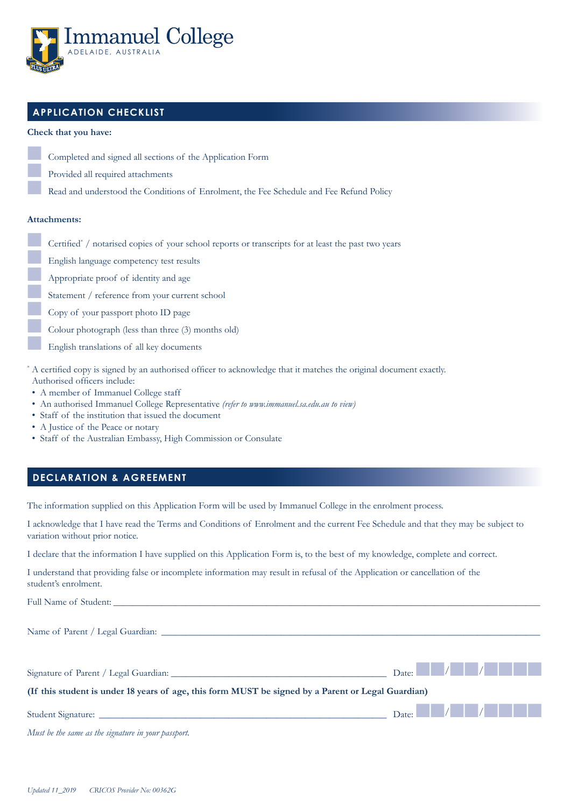

### **APPLICATION CHECKLIST**

#### **Check that you have:**

- Completed and signed all sections of the Application Form Provided all required attachments
	- Read and understood the Conditions of Enrolment, the Fee Schedule and Fee Refund Policy

#### **Attachments:**

- **2008** Certified<sup>\*</sup> / notarised copies of your school reports or transcripts for at least the past two years
	- n English language competency test results
	- n Appropriate proof of identity and age
	- Statement / reference from your current school
	- Copy of your passport photo ID page
	- Colour photograph (less than three (3) months old)
	- English translations of all key documents
- \* A certified copy is signed by an authorised officer to acknowledge that it matches the original document exactly. Authorised officers include:
- A member of Immanuel College staff
- An authorised Immanuel College Representative *(refer to www.immanuel.sa.edu.au to view)*
- Staff of the institution that issued the document
- A Justice of the Peace or notary
- Staff of the Australian Embassy, High Commission or Consulate

### **DECLARATION & AGREEMENT**

The information supplied on this Application Form will be used by Immanuel College in the enrolment process.

I acknowledge that I have read the Terms and Conditions of Enrolment and the current Fee Schedule and that they may be subject to variation without prior notice.

I declare that the information I have supplied on this Application Form is, to the best of my knowledge, complete and correct.

I understand that providing false or incomplete information may result in refusal of the Application or cancellation of the student's enrolment.

Full Name of Student:

Name of Parent / Legal Guardian:

| Signature of Parent / Legal Guardian:                                                              | Date: $\vert$ / $\vert$ / $\vert$ 1 $\vert$ |  |  |  |
|----------------------------------------------------------------------------------------------------|---------------------------------------------|--|--|--|
| (If this student is under 18 years of age, this form MUST be signed by a Parent or Legal Guardian) |                                             |  |  |  |
|                                                                                                    | Date: $\sqrt{ \mathcal{A} \mathcal{A} }$    |  |  |  |

*Must be the same as the signature in your passport.*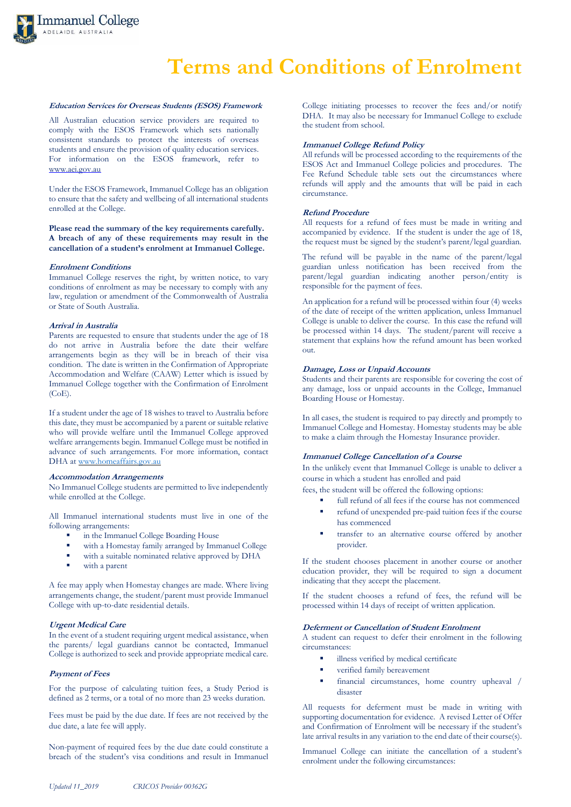

## **Terms and Conditions of Enrolment**

#### **Education Services for Overseas Students (ESOS) Framework**

All Australian education service providers are required to comply with the ESOS Framework which sets nationally consistent standards to protect the interests of overseas students and ensure the provision of quality education services. For information on the ESOS framework, refer to [www.aei.gov.au](http://www.aei.gov.au/)

Under the ESOS Framework, Immanuel College has an obligation to ensure that the safety and wellbeing of all international students enrolled at the College.

**Please read the summary of the key requirements carefully. A breach of any of these requirements may result in the cancellation of a student's enrolment at Immanuel College.**

#### **Enrolment Conditions**

Immanuel College reserves the right, by written notice, to vary conditions of enrolment as may be necessary to comply with any law, regulation or amendment of the Commonwealth of Australia or State of South Australia.

#### **Arrival in Australia**

Parents are requested to ensure that students under the age of 18 do not arrive in Australia before the date their welfare arrangements begin as they will be in breach of their visa condition. The date is written in the Confirmation of Appropriate Accommodation and Welfare (CAAW) Letter which is issued by Immanuel College together with the Confirmation of Enrolment (CoE).

If a student under the age of 18 wishes to travel to Australia before this date, they must be accompanied by a parent or suitable relative who will provide welfare until the Immanuel College approved welfare arrangements begin. Immanuel College must be notified in advance of such arrangements. For more information, contact DHA a[t www.homeaffairs.gov.au](http://www.homeaffairs.gov.au/)

#### **Accommodation Arrangements**

No Immanuel College students are permitted to live independently while enrolled at the College.

All Immanuel international students must live in one of the following arrangements:

- in the Immanuel College Boarding House
- with a Homestay family arranged by Immanuel College
- with a suitable nominated relative approved by DHA
- with a parent

A fee may apply when Homestay changes are made. Where living arrangements change, the student/parent must provide Immanuel College with up-to-date residential details.

#### **Urgent Medical Care**

In the event of a student requiring urgent medical assistance, when the parents/ legal guardians cannot be contacted, Immanuel College is authorized to seek and provide appropriate medical care.

#### **Payment of Fees**

For the purpose of calculating tuition fees, a Study Period is defined as 2 terms, or a total of no more than 23 weeks duration.

Fees must be paid by the due date. If fees are not received by the due date, a late fee will apply.

Non-payment of required fees by the due date could constitute a breach of the student's visa conditions and result in Immanuel College initiating processes to recover the fees and/or notify DHA. It may also be necessary for Immanuel College to exclude the student from school.

#### **Immanuel College Refund Policy**

All refunds will be processed according to the requirements of the ESOS Act and Immanuel College policies and procedures. The Fee Refund Schedule table sets out the circumstances where refunds will apply and the amounts that will be paid in each circumstance.

#### **Refund Procedure**

All requests for a refund of fees must be made in writing and accompanied by evidence. If the student is under the age of 18, the request must be signed by the student's parent/legal guardian.

The refund will be payable in the name of the parent/legal guardian unless notification has been received from the parent/legal guardian indicating another person/entity is responsible for the payment of fees.

An application for a refund will be processed within four (4) weeks of the date of receipt of the written application, unless Immanuel College is unable to deliver the course. In this case the refund will be processed within 14 days. The student/parent will receive a statement that explains how the refund amount has been worked out.

#### **Damage, Loss or Unpaid Accounts**

Students and their parents are responsible for covering the cost of any damage, loss or unpaid accounts in the College, Immanuel Boarding House or Homestay.

In all cases, the student is required to pay directly and promptly to Immanuel College and Homestay. Homestay students may be able to make a claim through the Homestay Insurance provider.

#### **Immanuel College Cancellation of a Course**

has commenced

In the unlikely event that Immanuel College is unable to deliver a course in which a student has enrolled and paid

fees, the student will be offered the following options:

- full refund of all fees if the course has not commenced refund of unexpended pre-paid tuition fees if the course
- transfer to an alternative course offered by another provider.

If the student chooses placement in another course or another education provider, they will be required to sign a document indicating that they accept the placement.

If the student chooses a refund of fees, the refund will be processed within 14 days of receipt of written application.

#### **Deferment or Cancellation of Student Enrolment**

A student can request to defer their enrolment in the following circumstances:

- illness verified by medical certificate
- verified family bereavement
- financial circumstances, home country upheaval / disaster

All requests for deferment must be made in writing with supporting documentation for evidence. A revised Letter of Offer and Confirmation of Enrolment will be necessary if the student's late arrival results in any variation to the end date of their course(s).

Immanuel College can initiate the cancellation of a student's enrolment under the following circumstances: